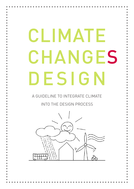# CLIMATE **CHANGES** DESIGN

A GUIDELINE TO INTEGRATE CLIMATE

INTO THE DESIGN PROCESS

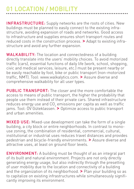# 01 LOCATION / MOBILITY

INFRASTRUCTURE: Supply networks are the roots of cities. New buildings must be planned to easily connect to the existing infrastructure, avoiding expansion of roads and networks. Good access to infrastructure and supplies ensures short transport routes and reduced costs in the construction process. > Adapt to existing infrastructure and avoid any further expansion.

WALKABILITY: The location and connectedness of a building directly translate into the users' mobility choices. To avoid motorized traffic (cars), essential functions of daily life (work, school, shopping, civic and medical services, leisure, etc.) must be present nearby or be easily reachable by foot, bike or public transport (non-motorized traffic, NMT). Tool: www.walkalytics.com. > Assure diverse and comprehensive walkability for all user types.

PUBLIC TRANSPORT: The closer and the more comfortable the access to means of public transport, the higher the probability that people use them instead of their private cars. Shared infrastructure reduces energy use and CO<sub>2</sub> emissions per capita as well as traffic<br>jams. Tool: ÖV Güteklassen. **>** Optimize access to public transport and urban amenities.

MIXED USE: Mixed-use development can take the form of a single building, a city block or entire neighborhoods. In contrast to monouse zoning, the combination of residential, commercial, cultural, institutional or industrial uses reduces travel distances and provides pedestrian and bicycle-friendly environments. > Assure diverse and attractive uses, at least on ground floor levels.

ENVIRONMENT: A building must be thought of as an integral part of its built and natural environment. Projects are not only directly generating energy usage, but also indirectly through the presetting of user mobility due to the location and connectivity of a building and the organization of its neighborhood. > Plan your building so as to capitalize on existing infrastructures while simultaneously significantly improving its environment.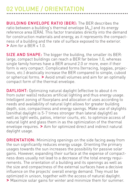# 02 VOLUME / ORIENTATION

BUILDING ENVELOPE RATIO (BER): The BER describes the ratio between a building's thermal envelope  $(A_{\tau_H})$  and its energy reference area (ERA). This factor translates directly into the demand for construction materials and energy, as it represents the compactness of a building and the rate of surface exposed to the exterior.  $\blacktriangleright$  Aim for a RFR  $\leq 1.0$ .

SIZE AND SHAPE: The bigger the building, the smaller its BER: large, compact buildings can reach a BER far below 1.0, whereas single family homes have a BER around 2.0 or more, even if their form is very compact. Complicated forms (terracing, loggias, projections, etc.) drastically increase the BER compared to simple, cuboid or spherical forms.  $\gt$  Avoid small volumes and aim for an optimally compact form of the thermal envelope.

DAYLIGHT: Optimizing natural daylight (effective to about 6 m from outer walls) reduces artificial lighting and thus energy usage. Intelligent zoning of floorplans and allocation of uses according to needs and availability of natural light allows for greater building depth, size, compactness and energy savings. Make use of skylights (zenithal daylight is 5-7 times stronger than lateral daylight) as well as light wells, patios, interior courts, etc. to optimize access of natural light and glass them in as the optimization of the thermal envelope requires. > Aim for optimized direct and indirect natural daylight usage.

ORIENTATION: Minimizing openings on the side facing away from the sun significantly reduces energy usage. Orienting the primary usages towards the sun increases the possibility for passive solar gains. However, expanding their surface at the expense of compactness does usually not lead to a decrease of the total energy requirements. The orientation of a building and its openings as well as the size and compactness of the external surfaces have a decisive influence on the projects' overall energy demand. They must be optimized in unison, together with the access of natural daylight. > Maximize solar gains for winter and minimize them for summer.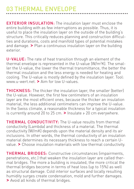## 03 THERMAL ENVELOPE

EXTERIOR INSULATION: The insulation layer must enclose the entire building with as few interruptions as possible. Thus, it is useful to place the insulation layer on the outside of the building's structure. This critically reduces planning and construction difficulties and durations, costs and manifold types of potential mistakes and damage. > Plan a continuous insulation layer on the building exterior.

U-VALUE: The rate of heat transition through an element of the thermal envelope is represented in the U-value (W/m<sup>2</sup> K). The smaller the U-value, the lower the thermal transmittance, the better the thermal insulation and the less energy is needed for heating and cooling. The U-value is mostly defined by the insulation layer. Tool: www.u-wert.net. > Aim for low U-values.

THICKNESS: The thicker the insulation layer, the smaller (better) the U-value. However, the first few centimeters of an insulation layer are the most efficient ones, because the thicker an insulation material, the less additional centimeters can improve the U-value. In the Swiss climate, a reasonable thickness for a typical insulation is currently around 20 to 25 cm. > Insulate  $\geq 20$  cm everywhere.

THERMAL CONDUCTIVITY: The U-value results from thermal conductivity (Lambda) and thickness of a material. The thermal conductivity (W/mK) depends upon the material density and its air inclusions. In other words, the thermal conductivity of an insulation material determines its necessary thickness to reach a certain Uvalue. > Choose insulation materials with low thermal conductivity.

THERMAL BRIDGES: Constructive circumstances (impairments, penetrations, etc.) that weaken the insulation layer are called thermal bridges. The more a building is insulated, the more critical the thermal bridges become in terms of heat loss (up to 15%) as well as structural damage. Cold interior surfaces and locally resulting humidity surges create condensation, mold and further damages. > Avoid all kinds of thermal bridges.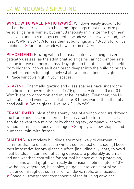## 04 WINDOWS / SHADING

WINDOW TO WALL RATIO (WWR): Windows easily account for half of the energy loss in a building. Openings must maximize passive solar gains in winter, but simultaneously minimize the high heat loss ratio and grey energy content of windows. For Switzerland, the ideal WWR is 30-40% for residential buildings and 40-50% for office buildings. > Aim for a window to wall ratio of 40%.

PLACEMENT: Glazing within the usual balustrade height is energetically useless, as the additional solar gains cannot compensate for the increased thermal loss. Daylight, on the other hand, benefits from higher windows as it can reach deeper into the building or can be better redirected (light shelves) above human lines of sight. > Place windows high in your spaces.

GLAZING: Thermally, glazing and glass spacers have undergone significant improvements since 1970; glass U-values of 0.6 or 0.5 W/m<sup>2</sup> K are now common and must be installed. Even then, the Uvalue of a good window is still about 6-8 times worse than that of a good wall.  $\blacktriangleright$  Define glass U-value < 0.6 W/m<sup>2</sup>K.

FRAME RATIO: Most of the energy loss of a window occurs through the frame and its connection to the glass, so the frame surfaces should be kept to a minimum by choosing few, compact windows without complex shapes and rungs. > Simplify window shapes and numbers, minimize frames.

SHADING: As modern buildings are more likely to overheat in summer than to undercool in winter, sun protection (shading) becomes imperative for any glazed surface (including skylights) to avoid heat buildup in summer. Shading devices are preferably automated and weather-controlled for optimal balance of sun protection, solar gains and daylight. Correctly dimensioned blinds (gtot ≤ 10%), overhangs, vegetation, balconies, pergolas, etc. can control solar incidence throughout summer on windows, roofs, and facades. > Shade all transparent components of the building envelope.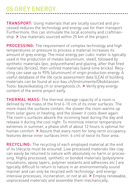#### 05 GREY ENERGY

TRANSPORT: Using materials that are locally sourced and processed reduces the technology and energy use for their transport. Furthermore, this can stimulate the local economy and craftmanship. > Use materials sourced within 25 km of the project.

PROCESSING: The requirement of complex technology and high temperatures or pressure to process a material increases its amount of grey energy. The most energy per cubic meter is typically used in the production of metals (aluminum, steel), followed by synthetic materials (pvc, polyurethane) and glazing, after that fired materials (bricks), then unfired materials (sand-lime bricks). Recycling can save up to 95% (aluminum) of virgin production energy. A useful database of the life cycle assessment data (LCA) of building materials can be found at eco-bau.ch/Instrumente/Ökobilanzen. Tools: bauteilkatalog.ch or energytools.ch. > Verify grey energy content of the entire project early.

THERMAL MASS: The thermal storage capacity of a room is defined by the mass of the first 6-10 cm of its inner surfaces. The more mass the surfaces contain, the slower the room warms up from solar gains or heating, and the slower it cools down again. The room's surfaces absorb the incoming heat during the day and release it during the cool night. To minimize interior temperature extremes in summer, a phase shift of about 12 hours is optimal for human comfort. > Assure that every room for long-term occupancy features dense inner surfaces (min<sup>6</sup> cm) of twice its floor area.

RECYCLING: The recycling of each employed material at the end of its lifecycle must be ensured. Low processed materials like clay can easily be returned to nature with absolutely no harm or processing. Highly processed, synthetic or bonded materials (polystyrene insulations, epoxy layers, polymer sealants and adhesives etc.) are typically difficult to return to nature in an environmentally sound manner and can only be recycled with technology- and energyintensive processes, incineration, or not at all. > Employ renewable, unprocessed materials and assemble them mechanically.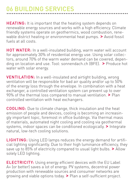#### 06 BUILDING SERVICES

HEATING: It is important that the heating system depends on renewable energy sources and works with a high efficiency. Climate friendly systems operate on geothermics, wood combustion, renewable district heating or environmental heat pumps. > Avoid fossil fuels at all costs.

HOT WATER: In a well-insulated building, warm water will account for approximately 30% of residential energy use. Using solar collectors, around 70% of the warm water demand can be covered, depending on location and use. Tool: sonnendach.ch (BFE). > Produce hot water with solar energy.

VENTILATION: In a well-insulated and airtight building, wrong ventilation will be responsible for bad air quality and/or up to 50% of the energy loss through the envelope. In combination with a heat exchanger, a controlled ventilation system can prevent up to over 90% of the thermal loss compared to manual ventilation. > Plan controlled ventilation with heat exchangers.

COOLING: Due to climate change, thick insulation and the heat emission of people and devices, cooling is becoming an increasingly important topic, foremost in office buildings. Via thermal mass of materials, automated night cooling and cooling via geothermal systems, indoor spaces can be conditioned ecologically. > Integrate natural, low-tech cooling solutions.

LIGHTING: Using LED lamps reduces the energy demand for artificial lighting significantly. Due to their high luminance efficiency, they save up to 85% of electricity compared to usual light bulbs. > Allow solely LED lighting.

ELECTRICITY: Using energy efficient devices with the EU Label A+ (or better) saves a lot of energy. PV systems, decentral power production with renewable sources and consumer networks are growing and viable options today. > Plan a self-sufficient project.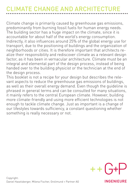# CLIMATE CHANGE AND ARCHITECTURE

Climate change is primarily caused by greenhouse gas emissions, predominantly from burning fossil fuels for human energy needs. The building sector has a huge impact on the climate, since it is accountable for about half of the world's energy consumption. Indirectly, it also influences around 25% of the global energy use for transport, due to the positioning of buildings and the organization of neighborhoods or cities. It is therefore important that architects realize their responsibility and rediscover climate as a relevant design factor, as it has been in vernacular architecture. Climate must be an integral and elemental part of the design process, instead of being handed over to the building physicist or the technician at the end of the design process.

This booklet is not a recipe for your design but describes the relevant aspects to reduce the greenhouse gas emissions of buildings, as well as their overall energy demand. Even though the guideline is phrased in general terms and can be consulted for many situations, it mainly refers to the central European climate. However, building more climate-friendly and using more efficient technologies is not enough to tackle climate change. Just as important is a change of our lifestyles towards sufficiency, a constant questioning whether something is really necessary or not.



Copyright: Daniel Haselsberger, Milena Fischer, Grolimund + Partner AG

**INGENIEURE**